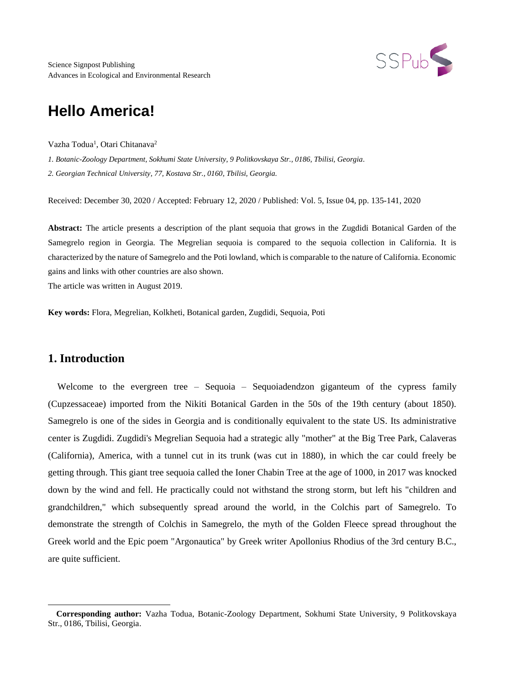

Science Signpost Publishing Advances in Ecological and Environmental Research

# **Hello America!**

Vazha Todua<sup>1</sup>, Otari Chitanava<sup>2</sup>

*1. Botanic-Zoology Department, Sokhumi State University, 9 Politkovskaya Str., 0186, Tbilisi, Georgia. 2. Georgian Technical University, 77, Kostava Str., 0160, Tbilisi, Georgia.*

Received: December 30, 2020 / Accepted: February 12, 2020 / Published: Vol. 5, Issue 04, pp. 135-141, 2020

**Abstract:** The article presents a description of the plant sequoia that grows in the Zugdidi Botanical Garden of the Samegrelo region in Georgia. The Megrelian sequoia is compared to the sequoia collection in California. It is characterized by the nature of Samegrelo and the Poti lowland, which is comparable to the nature of California. Economic gains and links with other countries are also shown.

The article was written in August 2019.

**Key words:** Flora, Megrelian, Kolkheti, Botanical garden, Zugdidi, Sequoia, Poti

# **1. Introduction**

Welcome to the evergreen tree – Sequoia – Sequoiadendzon giganteum of the cypress family (Cupzessaceae) imported from the Nikiti Botanical Garden in the 50s of the 19th century (about 1850). Samegrelo is one of the sides in Georgia and is conditionally equivalent to the state US. Its administrative center is Zugdidi. Zugdidi's Megrelian Sequoia had a strategic ally "mother" at the Big Tree Park, Calaveras (California), America, with a tunnel cut in its trunk (was cut in 1880), in which the car could freely be getting through. This giant tree sequoia called the Ioner Chabin Tree at the age of 1000, in 2017 was knocked down by the wind and fell. He practically could not withstand the strong storm, but left his "children and grandchildren," which subsequently spread around the world, in the Colchis part of Samegrelo. To demonstrate the strength of Colchis in Samegrelo, the myth of the Golden Fleece spread throughout the Greek world and the Epic poem "Argonautica" by Greek writer Apollonius Rhodius of the 3rd century B.C., are quite sufficient.

**Corresponding author:** Vazha Todua, Botanic-Zoology Department, Sokhumi State University, 9 Politkovskaya Str., 0186, Tbilisi, Georgia.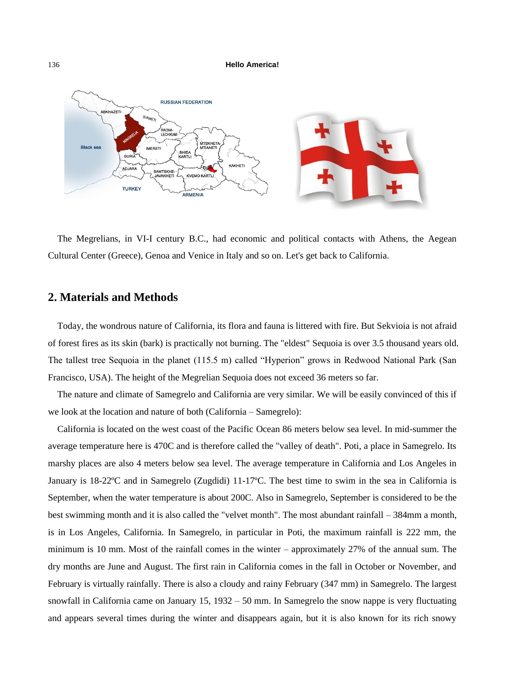

The Megrelians, in VI-I century B.C., had economic and political contacts with Athens, the Aegean Cultural Center (Greece), Genoa and Venice in Italy and so on. Let's get back to California.

## **2. Materials and Methods**

Today, the wondrous nature of California, its flora and fauna is littered with fire. But Sekvioia is not afraid of forest fires as its skin (bark) is practically not burning. The "eldest" Sequoia is over 3.5 thousand years old. The tallest tree Sequoia in the planet (115.5 m) called "Hyperion" grows in Redwood National Park (San Francisco, USA). The height of the Megrelian Sequoia does not exceed 36 meters so far.

The nature and climate of Samegrelo and California are very similar. We will be easily convinced of this if we look at the location and nature of both (California – Samegrelo):

California is located on the west coast of the Pacific Ocean 86 meters below sea level. In mid-summer the average temperature here is 470C and is therefore called the "valley of death". Poti, a place in Samegrelo. Its marshy places are also 4 meters below sea level. The average temperature in California and Los Angeles in January is 18-22ºC and in Samegrelo (Zugdidi) 11-17ºC. The best time to swim in the sea in California is September, when the water temperature is about 200C. Also in Samegrelo, September is considered to be the best swimming month and it is also called the "velvet month". The most abundant rainfall – 384mm a month, is in Los Angeles, California. In Samegrelo, in particular in Poti, the maximum rainfall is 222 mm, the minimum is 10 mm. Most of the rainfall comes in the winter – approximately 27% of the annual sum. The dry months are June and August. The first rain in California comes in the fall in October or November, and February is virtually rainfally. There is also a cloudy and rainy February (347 mm) in Samegrelo. The largest snowfall in California came on January 15, 1932 – 50 mm. In Samegrelo the snow nappe is very fluctuating and appears several times during the winter and disappears again, but it is also known for its rich snowy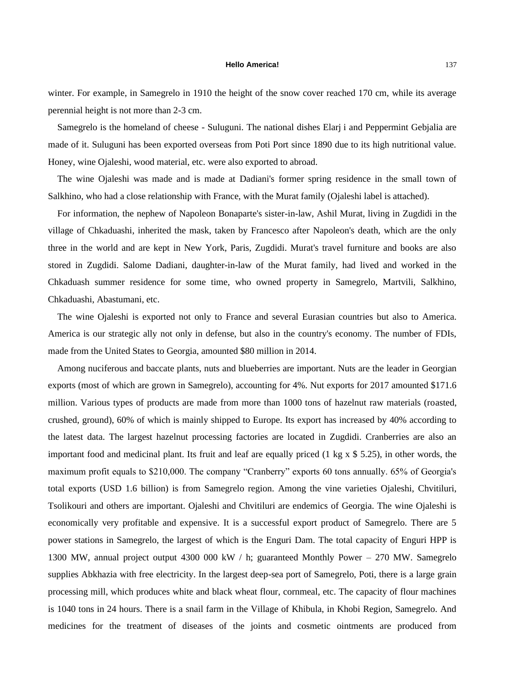winter. For example, in Samegrelo in 1910 the height of the snow cover reached 170 cm, while its average perennial height is not more than 2-3 cm.

Samegrelo is the homeland of cheese - Suluguni. The national dishes Elarj i and Peppermint Gebjalia are made of it. Suluguni has been exported overseas from Poti Port since 1890 due to its high nutritional value. Honey, wine Ojaleshi, wood material, etc. were also exported to abroad.

The wine Ojaleshi was made and is made at Dadiani's former spring residence in the small town of Salkhino, who had a close relationship with France, with the Murat family (Ojaleshi label is attached).

For information, the nephew of Napoleon Bonaparte's sister-in-law, Ashil Murat, living in Zugdidi in the village of Chkaduashi, inherited the mask, taken by Francesco after Napoleon's death, which are the only three in the world and are kept in New York, Paris, Zugdidi. Murat's travel furniture and books are also stored in Zugdidi. Salome Dadiani, daughter-in-law of the Murat family, had lived and worked in the Chkaduash summer residence for some time, who owned property in Samegrelo, Martvili, Salkhino, Chkaduashi, Abastumani, etc.

The wine Ojaleshi is exported not only to France and several Eurasian countries but also to America. America is our strategic ally not only in defense, but also in the country's economy. The number of FDIs, made from the United States to Georgia, amounted \$80 million in 2014.

Among nuciferous and baccate plants, nuts and blueberries are important. Nuts are the leader in Georgian exports (most of which are grown in Samegrelo), accounting for 4%. Nut exports for 2017 amounted \$171.6 million. Various types of products are made from more than 1000 tons of hazelnut raw materials (roasted, crushed, ground), 60% of which is mainly shipped to Europe. Its export has increased by 40% according to the latest data. The largest hazelnut processing factories are located in Zugdidi. Cranberries are also an important food and medicinal plant. Its fruit and leaf are equally priced (1 kg x \$ 5.25), in other words, the maximum profit equals to \$210,000. The company "Cranberry" exports 60 tons annually. 65% of Georgia's total exports (USD 1.6 billion) is from Samegrelo region. Among the vine varieties Ojaleshi, Chvitiluri, Tsolikouri and others are important. Ojaleshi and Chvitiluri are endemics of Georgia. The wine Ojaleshi is economically very profitable and expensive. It is a successful export product of Samegrelo. There are 5 power stations in Samegrelo, the largest of which is the Enguri Dam. The total capacity of Enguri HPP is 1300 MW, annual project output 4300 000 kW / h; guaranteed Monthly Power – 270 MW. Samegrelo supplies Abkhazia with free electricity. In the largest deep-sea port of Samegrelo, Poti, there is a large grain processing mill, which produces white and black wheat flour, cornmeal, etc. The capacity of flour machines is 1040 tons in 24 hours. There is a snail farm in the Village of Khibula, in Khobi Region, Samegrelo. And medicines for the treatment of diseases of the joints and cosmetic ointments are produced from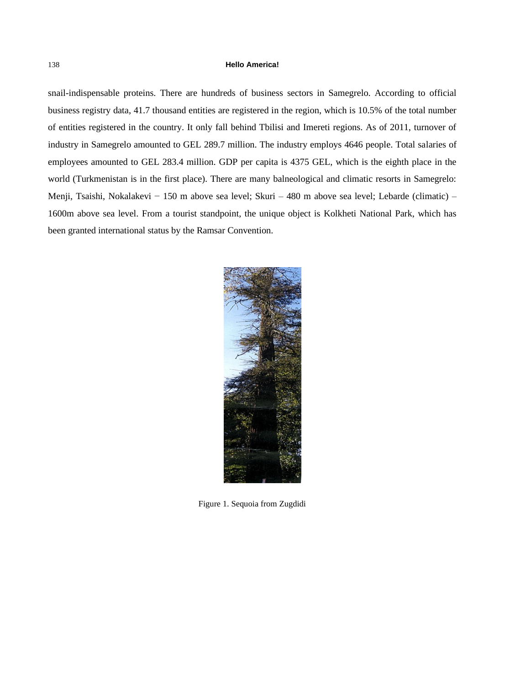snail-indispensable proteins. There are hundreds of business sectors in Samegrelo. According to official business registry data, 41.7 thousand entities are registered in the region, which is 10.5% of the total number of entities registered in the country. It only fall behind Tbilisi and Imereti regions. As of 2011, turnover of industry in Samegrelo amounted to GEL 289.7 million. The industry employs 4646 people. Total salaries of employees amounted to GEL 283.4 million. GDP per capita is 4375 GEL, which is the eighth place in the world (Turkmenistan is in the first place). There are many balneological and climatic resorts in Samegrelo: Menji, Tsaishi, Nokalakevi − 150 m above sea level; Skuri – 480 m above sea level; Lebarde (climatic) – 1600m above sea level. From a tourist standpoint, the unique object is Kolkheti National Park, which has been granted international status by the Ramsar Convention.



Figure 1. Sequoia from Zugdidi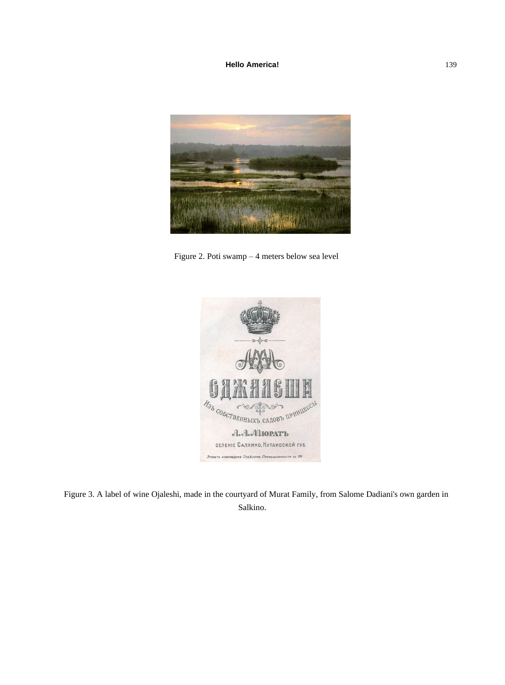

Figure 2. Poti swamp – 4 meters below sea level



Figure 3. A label of wine Ojaleshi, made in the courtyard of Murat Family, from Salome Dadiani's own garden in Salkino.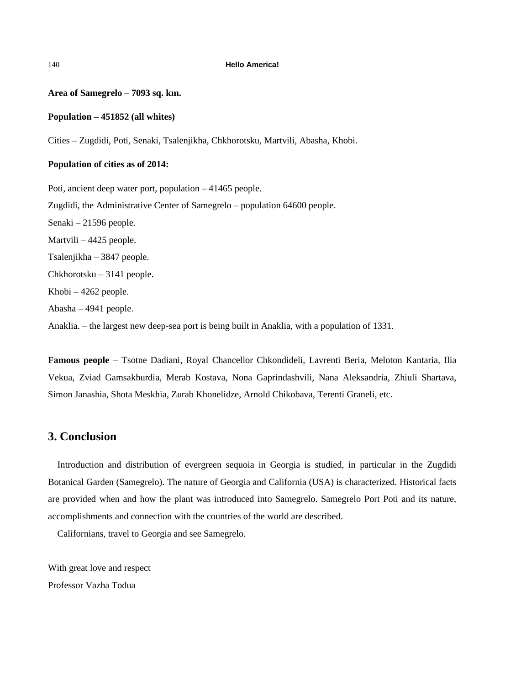#### **Area of Samegrelo – 7093 sq. km.**

### **Population – 451852 (all whites)**

Cities – Zugdidi, Poti, Senaki, Tsalenjikha, Chkhorotsku, Martvili, Abasha, Khobi.

#### **Population of cities as of 2014:**

Poti, ancient deep water port, population – 41465 people. Zugdidi, the Administrative Center of Samegrelo – population 64600 people. Senaki – 21596 people. Martvili – 4425 people. Tsalenjikha – 3847 people. Chkhorotsku – 3141 people. Khobi – 4262 people. Abasha – 4941 people. Anaklia. – the largest new deep-sea port is being built in Anaklia, with a population of 1331.

**Famous people –** Tsotne Dadiani, Royal Chancellor Chkondideli, Lavrenti Beria, Meloton Kantaria, Ilia Vekua, Zviad Gamsakhurdia, Merab Kostava, Nona Gaprindashvili, Nana Aleksandria, Zhiuli Shartava, Simon Janashia, Shota Meskhia, Zurab Khonelidze, Arnold Chikobava, Terenti Graneli, etc.

### **3. Conclusion**

Introduction and distribution of evergreen sequoia in Georgia is studied, in particular in the Zugdidi Botanical Garden (Samegrelo). The nature of Georgia and California (USA) is characterized. Historical facts are provided when and how the plant was introduced into Samegrelo. Samegrelo Port Poti and its nature, accomplishments and connection with the countries of the world are described.

Californians, travel to Georgia and see Samegrelo.

With great love and respect Professor Vazha Todua